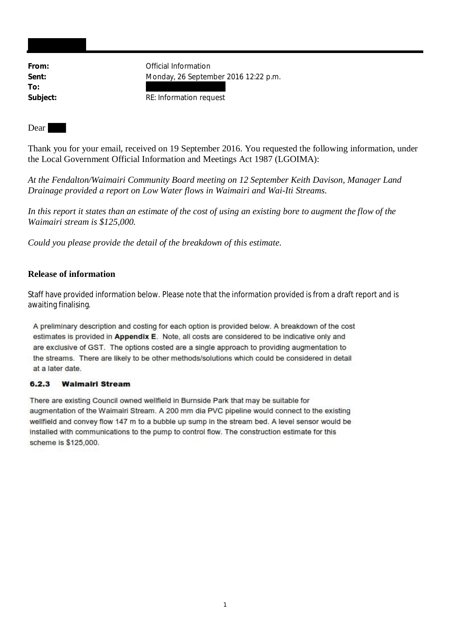**To:**

From: **From:** Official Information **Sent:** Monday, 26 September 2016 12:22 p.m.

Subject: **RE:** Information request

Dear

Thank you for your email, received on 19 September 2016. You requested the following information, under the Local Government Official Information and Meetings Act 1987 (LGOIMA):

*At the Fendalton/Waimairi Community Board meeting on 12 September Keith Davison, Manager Land Drainage provided a report on Low Water flows in Waimairi and Wai-Iti Streams.*

*In this report it states than an estimate of the cost of using an existing bore to augment the flow of the Waimairi stream is \$125,000.*

*Could you please provide the detail of the breakdown of this estimate.*

## **Release of information**

Staff have provided information below. Please note that the information provided is from a draft report and is awaiting finalising.

A preliminary description and costing for each option is provided below. A breakdown of the cost estimates is provided in Appendix E. Note, all costs are considered to be indicative only and are exclusive of GST. The options costed are a single approach to providing augmentation to the streams. There are likely to be other methods/solutions which could be considered in detail at a later date.

## $6, 2, 3$ **Walmairl Stream**

There are existing Council owned wellfield in Burnside Park that may be suitable for augmentation of the Waimairi Stream. A 200 mm dia PVC pipeline would connect to the existing wellfield and convey flow 147 m to a bubble up sump in the stream bed. A level sensor would be installed with communications to the pump to control flow. The construction estimate for this scheme is \$125,000.